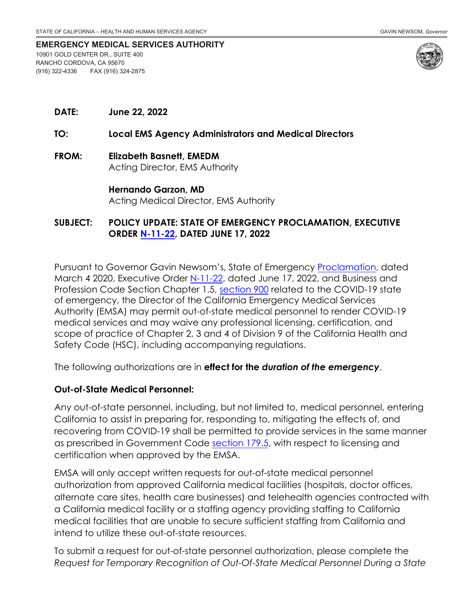#### **EMERGENCY MEDICAL SERVICES AUTHORITY** 10901 GOLD CENTER DR., SUITE 400 RANCHO CORDOVA, CA 95670 (916) 322-4336 FAX (916) 324-2875



**DATE: June 22, 2022**

#### **TO: Local EMS Agency Administrators and Medical Directors**

**FROM: Elizabeth Basnett, EMEDM** Acting Director, EMS Authority

> **Hernando Garzon, MD** Acting Medical Director, EMS Authority

## **SUBJECT: POLICY UPDATE: STATE OF EMERGENCY PROCLAMATION, EXECUTIVE ORDER [N-11-22,](https://www.gov.ca.gov/wp-content/uploads/2022/06/6.17.22-COVID-EO-Rollback-signed.pdf) DATED JUNE 17, 2022**

Pursuant to Governor Gavin Newsom's, State of Emergency [Proclamation,](https://www.gov.ca.gov/wp-content/uploads/2020/03/3.4.20-Coronavirus-SOE-Proclamation.pdf) dated March 4 2020, Executive Order [N-11-22](https://www.gov.ca.gov/wp-content/uploads/2022/06/6.17.22-COVID-EO-Rollback-signed.pdf), dated June 17, 2022, and Business and Profession Code Section Chapter 1.5, [section 900](https://leginfo.legislature.ca.gov/faces/codes_displaySection.xhtml?lawCode=BPC§ionNum=900.&highlight=true&keyword=emergency+medical+services) related to the COVID-19 state of emergency, the Director of the California Emergency Medical Services Authority (EMSA) may permit out-of-state medical personnel to render COVID-19 medical services and may waive any professional licensing, certification, and scope of practice of Chapter 2, 3 and 4 of Division 9 of the California Health and Safety Code (HSC), including accompanying regulations.

The following authorizations are in **effect for the** *duration of the emergency*.

#### **Out-of-State Medical Personnel:**

Any out-of-state personnel, including, but not limited to, medical personnel, entering California to assist in preparing for, responding to, mitigating the effects of, and recovering from COVID-19 shall be permitted to provide services in the same manner as prescribed in Government Code [section 179.5,](https://leginfo.legislature.ca.gov/faces/codes_displaySection.xhtml?lawCode=GOV§ionNum=179.5.) with respect to licensing and certification when approved by the EMSA.

EMSA will only accept written requests for out-of-state medical personnel authorization from approved California medical facilities (hospitals, doctor offices, alternate care sites, health care businesses) and telehealth agencies contracted with a California medical facility or a staffing agency providing staffing to California medical facilities that are unable to secure sufficient staffing from California and intend to utilize these out-of-state resources.

To submit a request for out-of-state personnel authorization, please complete the *Request for Temporary Recognition of Out-Of-State Medical Personnel During a State*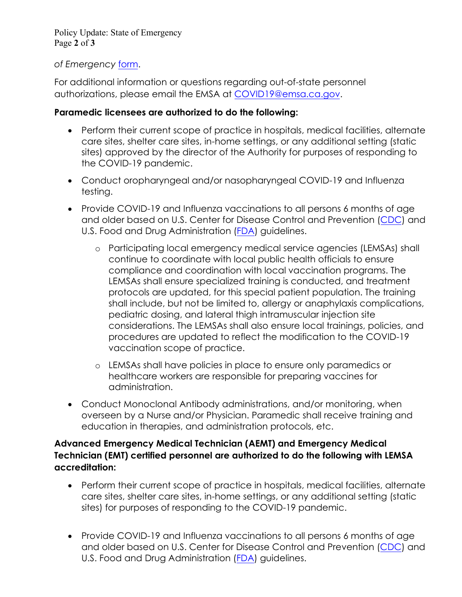Policy Update: State of Emergency Page **2** of **3**

# *of Emergency* [form](https://emsa.ca.gov/wp-content/uploads/sites/71/2022/06/TEMPLATE-Mutual-Aid-OOS-Authorization.pdf).

For additional information or questions regarding out-of-state personnel authorizations, please email the EMSA at [COVID19@emsa.ca.gov.](mailto:COVID19@emsa.ca.gov)

# **Paramedic licensees are authorized to do the following:**

- Perform their current scope of practice in hospitals, medical facilities, alternate care sites, shelter care sites, in-home settings, or any additional setting (static sites) approved by the director of the Authority for purposes of responding to the COVID-19 pandemic.
- Conduct oropharyngeal and/or nasopharyngeal COVID-19 and Influenza testing.
- Provide COVID-19 and Influenza vaccinations to all persons 6 months of age and older based on U.S. Center for Disease Control and Prevention [\(CDC\)](https://www.cdc.gov/coronavirus/2019-ncov/vaccines/index.html) and U.S. Food and Drug Administration ([FDA\)](https://www.fda.gov/emergency-preparedness-and-response/counterterrorism-and-emerging-threats/coronavirus-disease-2019-covid-19#new) guidelines.
	- o Participating local emergency medical service agencies (LEMSAs) shall continue to coordinate with local public health officials to ensure compliance and coordination with local vaccination programs. The LEMSAs shall ensure specialized training is conducted, and treatment protocols are updated, for this special patient population. The training shall include, but not be limited to, allergy or anaphylaxis complications, pediatric dosing, and lateral thigh intramuscular injection site considerations. The LEMSAs shall also ensure local trainings, policies, and procedures are updated to reflect the modification to the COVID-19 vaccination scope of practice.
	- o LEMSAs shall have policies in place to ensure only paramedics or healthcare workers are responsible for preparing vaccines for administration.
- Conduct Monoclonal Antibody administrations, and/or monitoring, when overseen by a Nurse and/or Physician. Paramedic shall receive training and education in therapies, and administration protocols, etc.

# **Advanced Emergency Medical Technician (AEMT) and Emergency Medical Technician (EMT) certified personnel are authorized to do the following with LEMSA accreditation:**

- Perform their current scope of practice in hospitals, medical facilities, alternate care sites, shelter care sites, in-home settings, or any additional setting (static sites) for purposes of responding to the COVID-19 pandemic.
- Provide COVID-19 and Influenza vaccinations to all persons 6 months of age and older based on U.S. Center for Disease Control and Prevention ([CDC](https://www.cdc.gov/coronavirus/2019-ncov/vaccines/index.html)) and U.S. Food and Drug Administration ([FDA\)](https://www.fda.gov/emergency-preparedness-and-response/counterterrorism-and-emerging-threats/coronavirus-disease-2019-covid-19#new) guidelines.